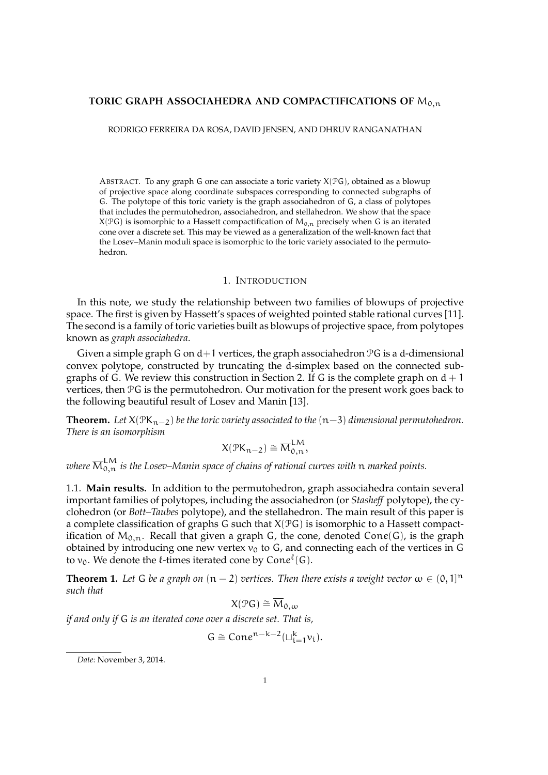## TORIC GRAPH ASSOCIAHEDRA AND COMPACTIFICATIONS OF M<sub>0.n</sub>

RODRIGO FERREIRA DA ROSA, DAVID JENSEN, AND DHRUV RANGANATHAN

ABSTRACT. To any graph G one can associate a toric variety  $X(\mathcal{P}G)$ , obtained as a blowup of projective space along coordinate subspaces corresponding to connected subgraphs of G. The polytope of this toric variety is the graph associahedron of G, a class of polytopes that includes the permutohedron, associahedron, and stellahedron. We show that the space  $X(\mathcal{P}G)$  is isomorphic to a Hassett compactification of  $M_{0,n}$  precisely when G is an iterated cone over a discrete set. This may be viewed as a generalization of the well-known fact that the Losev–Manin moduli space is isomorphic to the toric variety associated to the permutohedron.

### 1. INTRODUCTION

In this note, we study the relationship between two families of blowups of projective space. The first is given by Hassett's spaces of weighted pointed stable rational curves [11]. The second is a family of toric varieties built as blowups of projective space, from polytopes known as *graph associahedra*.

Given a simple graph G on  $d+1$  vertices, the graph associahedron  $\mathcal{P} G$  is a d-dimensional convex polytope, constructed by truncating the d-simplex based on the connected subgraphs of G. We review this construction in Section 2. If G is the complete graph on  $d + 1$ vertices, then PG is the permutohedron. Our motivation for the present work goes back to the following beautiful result of Losev and Manin [13].

**Theorem.** *Let*  $X(\mathcal{P}K_{n-2})$  *be the toric variety associated to the*  $(n-3)$  *dimensional permutohedron. There is an isomorphism*

$$
X(\mathcal{P}K_{n-2}) \cong \overline{M}_{0,n}^{LM},
$$

where  $\overline{\mathsf{M}}_{0,n}^{\mathsf{LM}}$  is the Losev–Manin space of chains of rational curves with  $\mathfrak n$  marked points.

1.1. **Main results.** In addition to the permutohedron, graph associahedra contain several important families of polytopes, including the associahedron (or *Stasheff* polytope), the cyclohedron (or *Bott–Taubes* polytope), and the stellahedron. The main result of this paper is a complete classification of graphs G such that  $X(\mathcal{P}G)$  is isomorphic to a Hassett compactification of  $M_{0,n}$ . Recall that given a graph G, the cone, denoted Cone(G), is the graph obtained by introducing one new vertex  $v_0$  to G, and connecting each of the vertices in G to  $v_0$ . We denote the  $\ell$ -times iterated cone by Con $e^{\ell}(G)$ .

**Theorem 1.** Let G be a graph on  $(n-2)$  vertices. Then there exists a weight vector  $\omega \in (0,1]$ <sup>n</sup> *such that*

$$
X(\mathcal{P}G) \cong \overline{M}_{0,\omega}
$$

*if and only if* G *is an iterated cone over a discrete set. That is,*

$$
\mathsf{G}\cong\mathsf{Cone}^{n-k-2}(\sqcup_{i=1}^k \mathsf{v}_i).
$$

*Date*: November 3, 2014.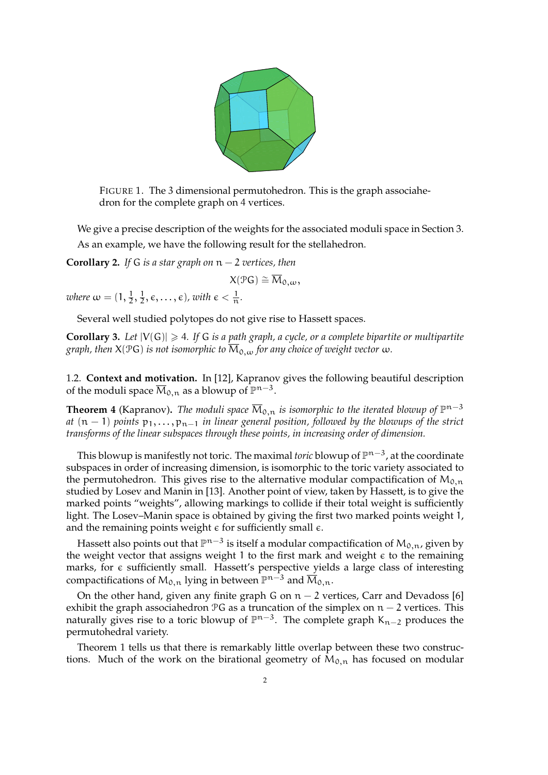

FIGURE 1. The 3 dimensional permutohedron. This is the graph associahedron for the complete graph on 4 vertices.

We give a precise description of the weights for the associated moduli space in Section 3. As an example, we have the following result for the stellahedron.

**Corollary 2.** *If* G *is a star graph on* n − 2 *vertices, then*

$$
X(\mathcal{P}G) \cong \overline{M}_{0,\omega},
$$

*where*  $\omega = (1, \frac{1}{2}, \frac{1}{2})$  $(\frac{1}{2}, \epsilon, \ldots, \epsilon)$ , with  $\epsilon < \frac{1}{n}$ .

Several well studied polytopes do not give rise to Hassett spaces.

**Corollary 3.** Let  $|V(G)| \geq 4$ . If G is a path graph, a cycle, or a complete bipartite or multipartite *graph, then*  $X(PG)$  *is not isomorphic to*  $\overline{M}_{0,w}$  *for any choice of weight vector*  $\omega$ *.* 

1.2. **Context and motivation.** In [12], Kapranov gives the following beautiful description of the moduli space  $\overline{\mathcal{M}}_{0,n}$  as a blowup of  $\mathbb{P}^{n-3}$ .

**Theorem 4** (Kapranov). *The moduli space*  $\overline{M}_{0,n}$  *is isomorphic to the iterated blowup of*  $\mathbb{P}^{n-3}$ *at* (n − 1) *points*  $p_1, \ldots, p_{n-1}$  *in linear general position, followed by the blowups of the strict transforms of the linear subspaces through these points, in increasing order of dimension.*

This blowup is manifestly not toric. The maximal *toric* blowup of  $\mathbb{P}^{n-3}$ , at the coordinate subspaces in order of increasing dimension, is isomorphic to the toric variety associated to the permutohedron. This gives rise to the alternative modular compactification of  $M_{0,n}$ studied by Losev and Manin in [13]. Another point of view, taken by Hassett, is to give the marked points "weights", allowing markings to collide if their total weight is sufficiently light. The Losev–Manin space is obtained by giving the first two marked points weight 1, and the remaining points weight  $\epsilon$  for sufficiently small  $\epsilon$ .

Hassett also points out that  $\mathbb{P}^{n-3}$  is itself a modular compactification of  $\mathsf{M}_{0,n}$ , given by the weight vector that assigns weight 1 to the first mark and weight  $\epsilon$  to the remaining marks, for  $\epsilon$  sufficiently small. Hassett's perspective yields a large class of interesting compactifications of  $M_{0,n}$  lying in between  $\mathbb{P}^{n-3}$  and  $\overline{M}_{0,n}$ .

On the other hand, given any finite graph G on  $n - 2$  vertices, Carr and Devadoss [6] exhibit the graph associahedron  $PG$  as a truncation of the simplex on  $n-2$  vertices. This naturally gives rise to a toric blowup of  $\mathbb{P}^{n-3}$ . The complete graph K<sub>n-2</sub> produces the permutohedral variety.

Theorem 1 tells us that there is remarkably little overlap between these two constructions. Much of the work on the birational geometry of  $M_{0,n}$  has focused on modular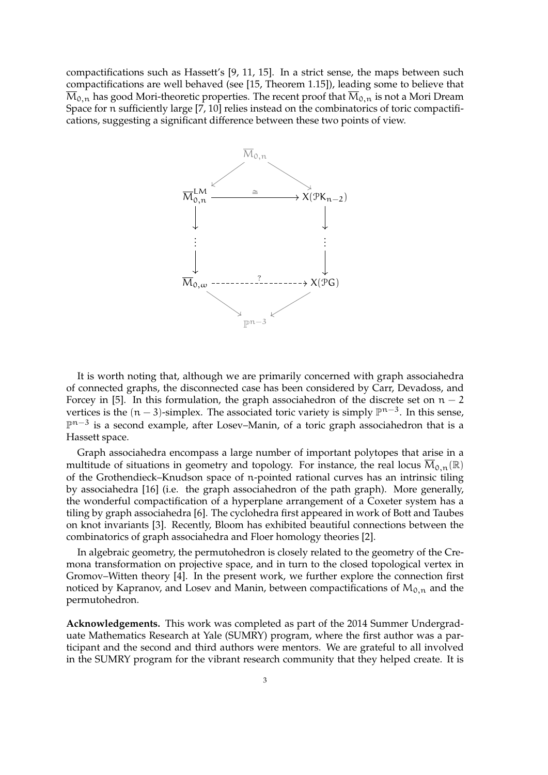compactifications such as Hassett's [9, 11, 15]. In a strict sense, the maps between such compactifications are well behaved (see [15, Theorem 1.15]), leading some to believe that  $\overline{M}_{0,n}$  has good Mori-theoretic properties. The recent proof that  $\overline{M}_{0,n}$  is not a Mori Dream Space for n sufficiently large [7, 10] relies instead on the combinatorics of toric compactifications, suggesting a significant difference between these two points of view.



It is worth noting that, although we are primarily concerned with graph associahedra of connected graphs, the disconnected case has been considered by Carr, Devadoss, and Forcey in [5]. In this formulation, the graph associahedron of the discrete set on  $n - 2$ vertices is the  $(n-3)$ -simplex. The associated toric variety is simply  $\mathbb{P}^{n-3}$ . In this sense,  $\mathbb{P}^{n-3}$  is a second example, after Losev-Manin, of a toric graph associahedron that is a Hassett space.

Graph associahedra encompass a large number of important polytopes that arise in a multitude of situations in geometry and topology. For instance, the real locus  $\overline{M}_{0,n}(\mathbb{R})$ of the Grothendieck–Knudson space of n-pointed rational curves has an intrinsic tiling by associahedra [16] (i.e. the graph associahedron of the path graph). More generally, the wonderful compactification of a hyperplane arrangement of a Coxeter system has a tiling by graph associahedra [6]. The cyclohedra first appeared in work of Bott and Taubes on knot invariants [3]. Recently, Bloom has exhibited beautiful connections between the combinatorics of graph associahedra and Floer homology theories [2].

In algebraic geometry, the permutohedron is closely related to the geometry of the Cremona transformation on projective space, and in turn to the closed topological vertex in Gromov–Witten theory [4]. In the present work, we further explore the connection first noticed by Kapranov, and Losev and Manin, between compactifications of  $M_{0,n}$  and the permutohedron.

**Acknowledgements.** This work was completed as part of the 2014 Summer Undergraduate Mathematics Research at Yale (SUMRY) program, where the first author was a participant and the second and third authors were mentors. We are grateful to all involved in the SUMRY program for the vibrant research community that they helped create. It is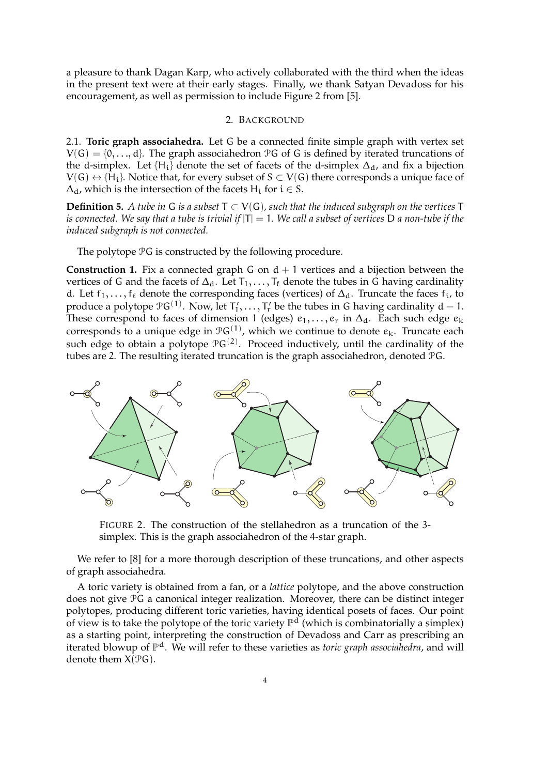a pleasure to thank Dagan Karp, who actively collaborated with the third when the ideas in the present text were at their early stages. Finally, we thank Satyan Devadoss for his encouragement, as well as permission to include Figure 2 from [5].

# 2. BACKGROUND

2.1. **Toric graph associahedra.** Let G be a connected finite simple graph with vertex set  $V(G) = \{0, \ldots, d\}$ . The graph associahedron PG of G is defined by iterated truncations of the d-simplex. Let  $\{H_i\}$  denote the set of facets of the d-simplex  $\Delta_d$ , and fix a bijection  $V(G) \leftrightarrow \{H_i\}$ . Notice that, for every subset of  $S \subset V(G)$  there corresponds a unique face of  $\Delta_d$ , which is the intersection of the facets H<sub>i</sub> for  $i \in S$ .

**Definition 5.** *A tube in G is a subset*  $T ⊂ V(G)$ *, such that the induced subgraph on the vertices*  $T$ *is connected. We say that a tube is trivial if* |T| = 1*. We call a subset of vertices* D *a non-tube if the induced subgraph is not connected.*

The polytope PG is constructed by the following procedure.

**Construction 1.** Fix a connected graph G on  $d + 1$  vertices and a bijection between the vertices of G and the facets of  $\Delta_d$ . Let  $T_1, \ldots, T_\ell$  denote the tubes in G having cardinality d. Let f<sub>1</sub>, ..., f<sub>ℓ</sub> denote the corresponding faces (vertices) of  $\Delta_d$ . Truncate the faces f<sub>i</sub>, to produce a polytope  $\mathfrak{P}G^{(1)}$ . Now, let  $T'_1,\ldots,T'_r$  be the tubes in G having cardinality  $d-1$ . These correspond to faces of dimension 1 (edges)  $e_1, \ldots, e_r$  in  $\Delta_d$ . Each such edge  $e_k$ corresponds to a unique edge in  $\mathfrak{P}G^{(1)}$ , which we continue to denote  $e_k$ . Truncate each such edge to obtain a polytope  $\mathfrak{P}G^{(2)}$ . Proceed inductively, until the cardinality of the tubes are 2. The resulting iterated truncation is the graph associahedron, denoted PG.



FIGURE 2. The construction of the stellahedron as a truncation of the 3 simplex. This is the graph associahedron of the 4-star graph.

We refer to [8] for a more thorough description of these truncations, and other aspects of graph associahedra.

A toric variety is obtained from a fan, or a *lattice* polytope, and the above construction does not give PG a canonical integer realization. Moreover, there can be distinct integer polytopes, producing different toric varieties, having identical posets of faces. Our point of view is to take the polytope of the toric variety  $\mathbb{P}^d$  (which is combinatorially a simplex) as a starting point, interpreting the construction of Devadoss and Carr as prescribing an iterated blowup of P <sup>d</sup>. We will refer to these varieties as *toric graph associahedra*, and will denote them  $X(PG)$ .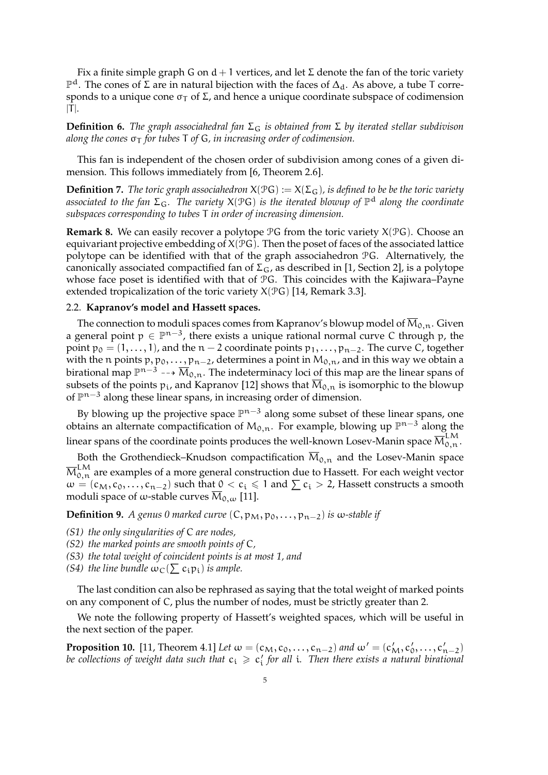Fix a finite simple graph G on  $d + 1$  vertices, and let  $\Sigma$  denote the fan of the toric variety  $\mathbb{P}^d$ . The cones of Σ are in natural bijection with the faces of  $\Delta_d$ . As above, a tube T corresponds to a unique cone  $\sigma_T$  of  $\Sigma$ , and hence a unique coordinate subspace of codimension  $|T|$ .

**Definition 6.** *The graph associahedral fan* Σ<sub>G</sub> *is obtained from* Σ *by iterated stellar subdivison along the cones* σ<sup>T</sup> *for tubes* T *of* G*, in increasing order of codimension.*

This fan is independent of the chosen order of subdivision among cones of a given dimension. This follows immediately from [6, Theorem 2.6].

**Definition 7.** *The toric graph associahedron*  $X(\mathcal{P}G) := X(\Sigma_G)$ *, is defined to be be the toric variety associated to the fan* ΣG*. The variety* X(PG) *is the iterated blowup of* P <sup>d</sup> *along the coordinate subspaces corresponding to tubes* T *in order of increasing dimension.*

**Remark 8.** We can easily recover a polytope  $\mathcal{P}G$  from the toric variety  $X(\mathcal{P}G)$ . Choose an equivariant projective embedding of  $X(\mathcal{P}G)$ . Then the poset of faces of the associated lattice polytope can be identified with that of the graph associahedron PG. Alternatively, the canonically associated compactified fan of  $\Sigma$ <sub>G</sub>, as described in [1, Section 2], is a polytope whose face poset is identified with that of PG. This coincides with the Kajiwara–Payne extended tropicalization of the toric variety  $X(\mathcal{P}G)$  [14, Remark 3.3].

## 2.2. **Kapranov's model and Hassett spaces.**

The connection to moduli spaces comes from Kapranov's blowup model of  $\overline{M}_{0,n}$ . Given a general point  $p \in \mathbb{P}^{n-3}$ , there exists a unique rational normal curve C through p, the point  $p_0 = (1, \ldots, 1)$ , and the n – 2 coordinate points  $p_1, \ldots, p_{n-2}$ . The curve C, together with the n points  $p, p_0, \ldots, p_{n-2}$ , determines a point in  $M_{0,n}$ , and in this way we obtain a birational map  $\mathbb{P}^{n-3} \dashrightarrow \overline{M}_{0,n}.$  The indeterminacy loci of this map are the linear spans of subsets of the points  $p_i$ , and Kapranov [12] shows that  $M_{0,n}$  is isomorphic to the blowup of  $\mathbb{P}^{n-3}$  along these linear spans, in increasing order of dimension.

By blowing up the projective space  $\mathbb{P}^{n-3}$  along some subset of these linear spans, one obtains an alternate compactification of  $M_{0,n}$ . For example, blowing up  $\mathbb{P}^{n-3}$  along the linear spans of the coordinate points produces the well-known Losev-Manin space  $\overline{\mathsf{M}}^\mathrm{LM}_{0,n}.$ 

Both the Grothendieck–Knudson compactification  $\overline{M}_{0,n}$  and the Losev-Manin space  ${\overline{\mathrm{M}}}_{0,n}^{\text{\rm LM}}$  are examples of a more general construction due to Hassett. For each weight vector  $\omega = (c_M, c_0, \ldots, c_{n-2})$  such that  $0 < c_i \le 1$  and  $\sum c_i > 2$ , Hassett constructs a smooth moduli space of  $\omega$ -stable curves  $M_{0,\omega}$  [11].

**Definition 9.** *A genus 0 marked curve*  $(C, p_M, p_0, \ldots, p_{n-2})$  *is*  $\omega$ -stable if

- *(S1) the only singularities of* C *are nodes,*
- *(S2) the marked points are smooth points of* C*,*
- *(S3) the total weight of coincident points is at most 1, and*
- *(S4) the line bundle*  $\omega_C(\sum c_i p_i)$  *is ample.*

The last condition can also be rephrased as saying that the total weight of marked points on any component of C, plus the number of nodes, must be strictly greater than 2.

We note the following property of Hassett's weighted spaces, which will be useful in the next section of the paper.

**Proposition 10.** [11, Theorem 4.1] *Let*  $\omega = (c_M, c_0, \dots, c_{n-2})$  *and*  $\omega' = (c'_M, c'_0, \dots, c'_{n-2})$ be collections of weight data such that  $c_i \geqslant c'_i$  for all *i*. Then there exists a natural birational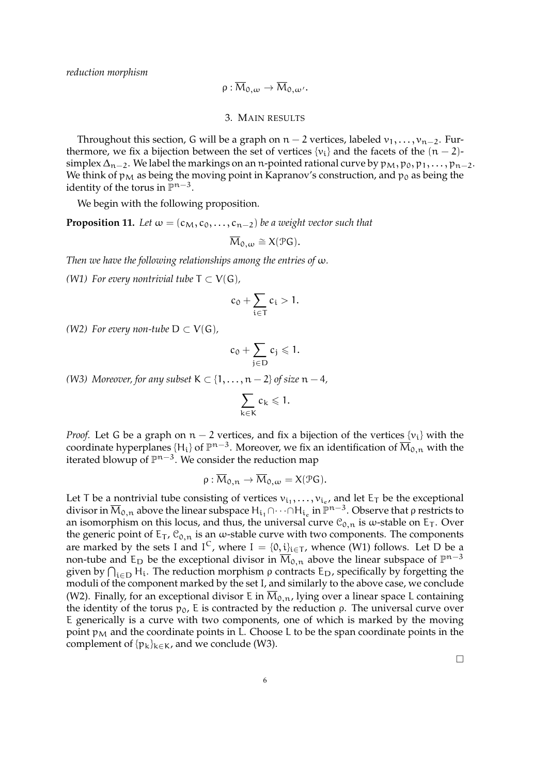*reduction morphism*

$$
\rho:\overline{M}_{0,\omega}\to\overline{M}_{0,\omega'}.
$$

3. MAIN RESULTS

Throughout this section, G will be a graph on  $n-2$  vertices, labeled  $v_1, \ldots, v_{n-2}$ . Furthermore, we fix a bijection between the set of vertices { $v_i$ } and the facets of the  $(n-2)$ simplex  $\Delta_{n-2}$ . We label the markings on an n-pointed rational curve by  $p_M, p_0, p_1, \ldots, p_{n-2}$ . We think of  $p_M$  as being the moving point in Kapranov's construction, and  $p_0$  as being the identity of the torus in  $\mathbb{P}^{n-3}$ .

We begin with the following proposition.

**Proposition 11.** *Let*  $\omega = (c_M, c_0, \ldots, c_{n-2})$  *be a weight vector such that* 

$$
\overline{\mathcal{M}}_{0,\omega}\cong X(\mathcal{P}G).
$$

*Then we have the following relationships among the entries of* ω*.*

*(W1) For every nontrivial tube*  $T \subset V(G)$ *,* 

$$
c_0+\sum_{i\in T}c_i>1.
$$

*(W2) For every non-tube*  $D \subset V(G)$ *,* 

$$
c_0+\sum_{j\in D}c_j\leqslant 1.
$$

*(W3) Moreover, for any subset*  $K \subset \{1, \ldots, n-2\}$  *of size*  $n-4$ *,* 

$$
\sum_{k\in K} c_k \leqslant 1.
$$

*Proof.* Let G be a graph on  $n - 2$  vertices, and fix a bijection of the vertices  $\{v_i\}$  with the coordinate hyperplanes {H<sub>i</sub>} of  $\mathbb{P}^{n-3}$ . Moreover, we fix an identification of  $\overline{M}_{0,n}$  with the iterated blowup of  $\mathbb{P}^{n-3}$ . We consider the reduction map

$$
\rho: \overline{\mathcal{M}}_{0,n} \to \overline{\mathcal{M}}_{0,\omega} = X(\mathcal{P}G).
$$

Let T be a nontrivial tube consisting of vertices  $v_{i_1}, \ldots, v_{i_e}$ , and let  $E_T$  be the exceptional divisor in  $\overline{M}_{0,n}$  above the linear subspace  $H_{i_1}\cap\cdots\cap H_{i_e}$  in  $\mathbb{P}^{n-3}$ . Observe that  $\rho$  restricts to an isomorphism on this locus, and thus, the universal curve  $\mathcal{C}_{0,n}$  is  $\omega$ -stable on E<sub>T</sub>. Over the generic point of  $E_T$ ,  $\mathcal{C}_{0,n}$  is an  $\omega$ -stable curve with two components. The components are marked by the sets I and  $I^C$ , where  $I = \{0, i\}_{i \in T}$ , whence (W1) follows. Let D be a non-tube and E<sub>D</sub> be the exceptional divisor in  $\overline{M}_{0,n}$  above the linear subspace of  $\mathbb{P}^{n-3}$ given by  $\bigcap_{i\in D} H_i$ . The reduction morphism  $\rho$  contracts  $E_D$ , specifically by forgetting the moduli of the component marked by the set I, and similarly to the above case, we conclude (W2). Finally, for an exceptional divisor E in  $\overline{M}_{0,n}$ , lying over a linear space L containing the identity of the torus  $p_0$ , E is contracted by the reduction *ρ*. The universal curve over E generically is a curve with two components, one of which is marked by the moving point  $p_M$  and the coordinate points in L. Choose L to be the span coordinate points in the complement of  $\{p_k\}_{k\in\mathcal{K}}$ , and we conclude (W3).

 $\Box$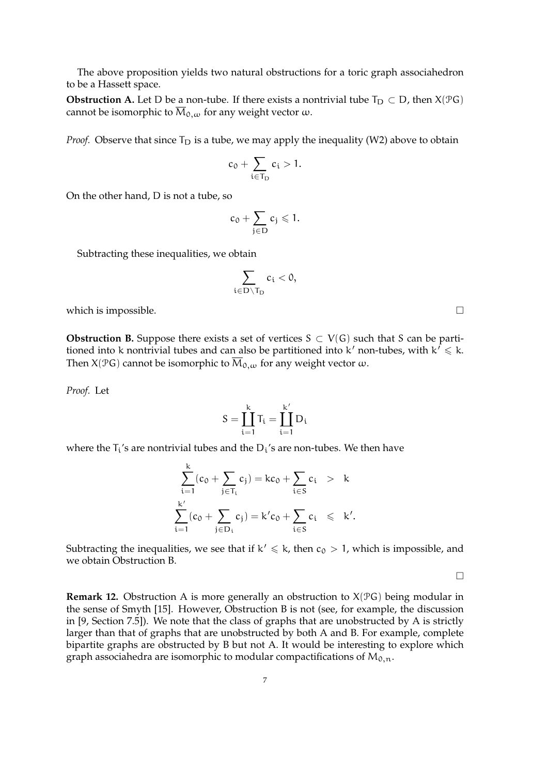The above proposition yields two natural obstructions for a toric graph associahedron to be a Hassett space.

**Obstruction A.** Let D be a non-tube. If there exists a nontrivial tube  $T_D \subset D$ , then  $X(\mathcal{P}G)$ cannot be isomorphic to  $\overline{M}_{0,\omega}$  for any weight vector  $\omega$ .

*Proof.* Observe that since  $T_D$  is a tube, we may apply the inequality (W2) above to obtain

$$
c_0+\sum_{i\in T_D}c_i>1.
$$

On the other hand, D is not a tube, so

$$
c_0+\sum_{j\in D}c_j\leqslant 1.
$$

Subtracting these inequalities, we obtain

$$
\sum_{i\in D\setminus T_D}c_i<0,
$$

which is impossible.  $\Box$ 

**Obstruction B.** Suppose there exists a set of vertices  $S \subset V(G)$  such that S can be partitioned into k nontrivial tubes and can also be partitioned into k' non-tubes, with  $k' \le k$ . Then  $X(\mathcal{P}G)$  cannot be isomorphic to  $\overline{M}_{0,\omega}$  for any weight vector  $\omega$ .

*Proof.* Let

$$
S=\coprod_{i=1}^k T_i=\coprod_{i=1}^{k'} D_i
$$

where the  $T_i$ 's are nontrivial tubes and the  $D_i$ 's are non-tubes. We then have

$$
\sum_{i=1}^{k} (c_0 + \sum_{j \in T_i} c_j) = kc_0 + \sum_{i \in S} c_i \ > \ k
$$
  

$$
\sum_{i=1}^{k'} (c_0 + \sum_{j \in D_i} c_j) = k'c_0 + \sum_{i \in S} c_i \ \leqslant \ k'.
$$

Subtracting the inequalities, we see that if  $k' \leq k$ , then  $c_0 > 1$ , which is impossible, and we obtain Obstruction B.

 $\Box$ 

**Remark 12.** Obstruction A is more generally an obstruction to X(PG) being modular in the sense of Smyth [15]. However, Obstruction B is not (see, for example, the discussion in [9, Section 7.5]). We note that the class of graphs that are unobstructed by A is strictly larger than that of graphs that are unobstructed by both A and B. For example, complete bipartite graphs are obstructed by B but not A. It would be interesting to explore which graph associahedra are isomorphic to modular compactifications of  $M_{0,n}$ .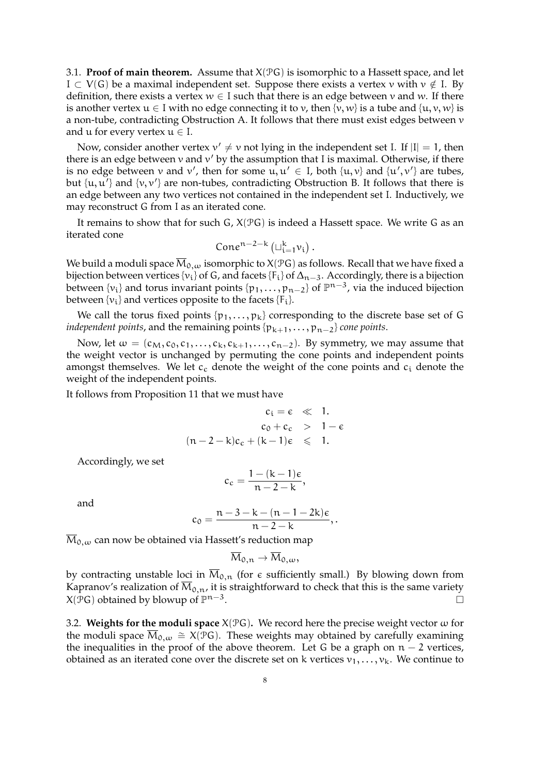3.1. **Proof of main theorem.** Assume that  $X(\mathcal{P}G)$  is isomorphic to a Hassett space, and let  $I \subset V(G)$  be a maximal independent set. Suppose there exists a vertex v with  $v \notin I$ . By definition, there exists a vertex  $w \in I$  such that there is an edge between v and w. If there is another vertex  $u \in I$  with no edge connecting it to v, then  $\{v, w\}$  is a tube and  $\{u, v, w\}$  is a non-tube, contradicting Obstruction A. It follows that there must exist edges between v and  $u$  for every vertex  $u \in I$ .

Now, consider another vertex  $v' \neq v$  not lying in the independent set I. If  $|I| = 1$ , then there is an edge between  $v$  and  $v'$  by the assumption that I is maximal. Otherwise, if there is no edge between  $v$  and  $v'$ , then for some  $u, u' \in I$ , both  $\{u, v\}$  and  $\{u', v'\}$  are tubes, but  $\{u, u'\}$  and  $\{v, v'\}$  are non-tubes, contradicting Obstruction B. It follows that there is an edge between any two vertices not contained in the independent set I. Inductively, we may reconstruct G from I as an iterated cone.

It remains to show that for such  $G$ ,  $X(\mathcal{P}G)$  is indeed a Hassett space. We write G as an iterated cone

$$
\text{Cone}^{n-2-k}\left(\sqcup_{i=1}^k v_i\right).
$$

We build a moduli space  $\overline{M}_{0,\omega}$  isomorphic to X(PG) as follows. Recall that we have fixed a bijection between vertices {v<sub>i</sub>} of G, and facets {F<sub>i</sub>} of  $\Delta_{n-3}$ . Accordingly, there is a bijection between {v<sub>i</sub>} and torus invariant points {p<sub>1</sub>,..., p<sub>n−2</sub>} of  $\mathbb{P}^{n-3}$ , via the induced bijection between  $\{v_i\}$  and vertices opposite to the facets  $\{F_i\}$ .

We call the torus fixed points  $\{p_1, \ldots, p_k\}$  corresponding to the discrete base set of G *independent points,* and the remaining points  $\{p_{k+1}, \ldots, p_{n-2}\}$  *cone points.* 

Now, let  $\omega = (c_M, c_0, c_1, \ldots, c_k, c_{k+1}, \ldots, c_{n-2})$ . By symmetry, we may assume that the weight vector is unchanged by permuting the cone points and independent points amongst themselves. We let  $c_c$  denote the weight of the cone points and  $c_i$  denote the weight of the independent points.

It follows from Proposition 11 that we must have

$$
c_i = \varepsilon \quad \ll \quad 1.
$$
  
\n
$$
c_0 + c_c \quad > \quad 1 - \varepsilon
$$
  
\n
$$
(n - 2 - k)c_c + (k - 1)\varepsilon \quad \leqslant \quad 1.
$$

Accordingly, we set

$$
c_c = \frac{1 - (k - 1)\epsilon}{n - 2 - k},
$$

and

$$
c_0=\frac{n-3-k-(n-1-2k)\varepsilon}{n-2-k},.
$$

 $\overline{M}_{0,\omega}$  can now be obtained via Hassett's reduction map

$$
\overline{\mathrm{M}}_{0,n} \to \overline{\mathrm{M}}_{0,\omega},
$$

by contracting unstable loci in  $\overline{M}_{0,n}$  (for  $\epsilon$  sufficiently small.) By blowing down from Kapranov's realization of  $\overline{M}_{0,n}$ , it is straightforward to check that this is the same variety  $X(\overline{\mathcal{P}}G)$  obtained by blowup of  $\mathbb{P}^{n-3}$ .

3.2. **Weights for the moduli space**  $X(\mathcal{P}G)$ . We record here the precise weight vector  $\omega$  for the moduli space  $\overline{M}_{0,\omega} \cong X(\mathcal{P}G)$ . These weights may obtained by carefully examining the inequalities in the proof of the above theorem. Let G be a graph on  $n - 2$  vertices, obtained as an iterated cone over the discrete set on k vertices  $v_1, \ldots, v_k$ . We continue to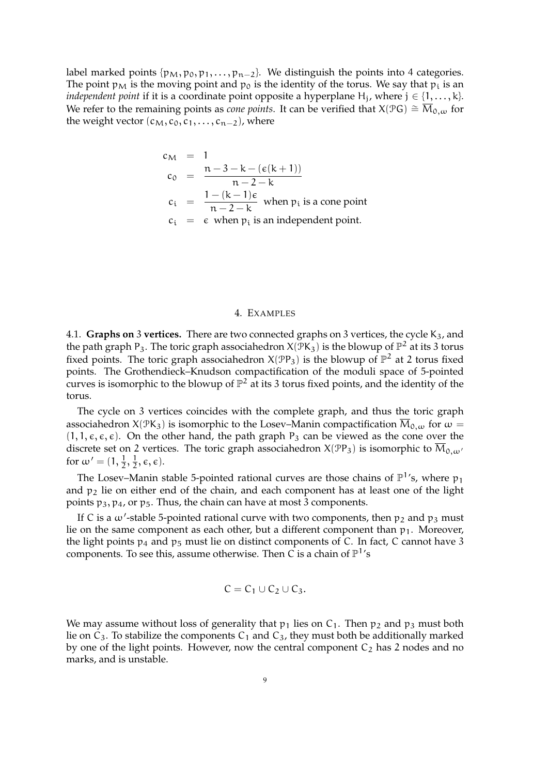label marked points  $\{p_M, p_0, p_1, \ldots, p_{n-2}\}$ . We distinguish the points into 4 categories. The point  $p_M$  is the moving point and  $p_0$  is the identity of the torus. We say that  $p_i$  is an *independent point* if it is a coordinate point opposite a hyperplane  $H_j$ , where  $j \in \{1, \ldots, k\}$ . We refer to the remaining points as *cone points*. It can be verified that  $X(\mathcal{P}G) \cong \overline{M}_{0,\omega}$  for the weight vector  $(c_M, c_0, c_1, \ldots, c_{n-2})$ , where

$$
c_M = 1
$$
  
\n
$$
c_0 = \frac{n-3-k-(\epsilon(k+1))}{n-2-k}
$$
  
\n
$$
c_i = \frac{1-(k-1)\epsilon}{n-2-k}
$$
 when  $p_i$  is a cone point  
\n
$$
c_i = \epsilon
$$
 when  $p_i$  is an independent point.

## 4. EXAMPLES

4.1. Graphs on 3 vertices. There are two connected graphs on 3 vertices, the cycle K<sub>3</sub>, and the path graph P<sub>3</sub>. The toric graph associahedron  $X(\overline{P}K_3)$  is the blowup of  $\mathbb{P}^2$  at its 3 torus fixed points. The toric graph associahedron  $X(\mathcal{P}P_3)$  is the blowup of  $\mathbb{P}^2$  at 2 torus fixed points. The Grothendieck–Knudson compactification of the moduli space of 5-pointed curves is isomorphic to the blowup of  $\mathbb{P}^2$  at its 3 torus fixed points, and the identity of the torus.

The cycle on 3 vertices coincides with the complete graph, and thus the toric graph associahedron X( $\mathcal{P}K_3$ ) is isomorphic to the Losev–Manin compactification  $\overline{M}_{0,\omega}$  for  $\omega =$  $(1, 1, \varepsilon, \varepsilon, \varepsilon)$ . On the other hand, the path graph P<sub>3</sub> can be viewed as the cone over the discrete set on 2 vertices. The toric graph associahedron  $X(\mathcal{P}P_3)$  is isomorphic to  $\overline{M}_{0,\omega}$ for  $\omega' = (1, \frac{1}{2}, \frac{1}{2})$  $\frac{1}{2}, \epsilon, \epsilon$ ).

The Losev–Manin stable 5-pointed rational curves are those chains of  $\mathbb{P}^1$ 's, where  $p_1$ and  $p_2$  lie on either end of the chain, and each component has at least one of the light points  $p_3$ ,  $p_4$ , or  $p_5$ . Thus, the chain can have at most 3 components.

If C is a  $\omega'$ -stable 5-pointed rational curve with two components, then  $p_2$  and  $p_3$  must lie on the same component as each other, but a different component than  $p_1$ . Moreover, the light points  $p_4$  and  $p_5$  must lie on distinct components of C. In fact, C cannot have 3 components. To see this, assume otherwise. Then C is a chain of  $\mathbb{P}^1$ 's

$$
C=C_1\cup C_2\cup C_3.
$$

We may assume without loss of generality that  $p_1$  lies on  $C_1$ . Then  $p_2$  and  $p_3$  must both lie on  $C_3$ . To stabilize the components  $C_1$  and  $C_3$ , they must both be additionally marked by one of the light points. However, now the central component  $C_2$  has 2 nodes and no marks, and is unstable.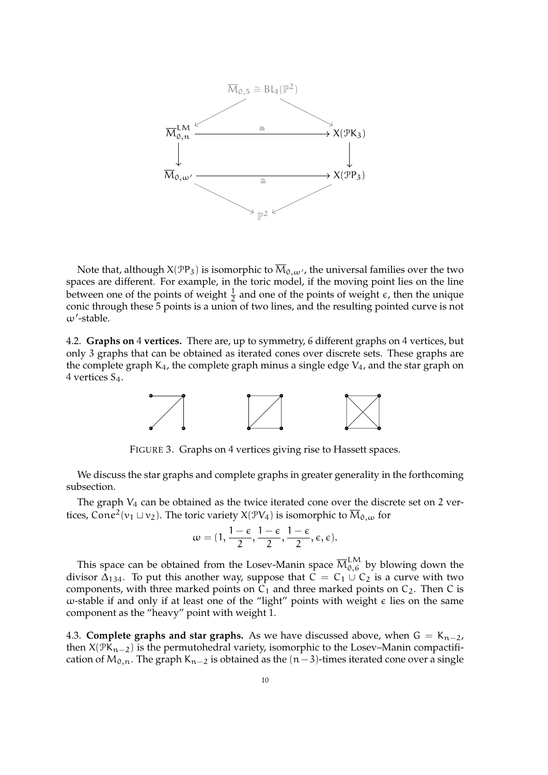

Note that, although  $X(\text{PP}_3)$  is isomorphic to  $\overline{M}_{0,\omega'}$ , the universal families over the two spaces are different. For example, in the toric model, if the moving point lies on the line between one of the points of weight  $\frac{1}{2}$  and one of the points of weight  $\epsilon$ , then the unique conic through these 5 points is a union of two lines, and the resulting pointed curve is not  $\omega'$ -stable.

4.2. **Graphs on** 4 **vertices.** There are, up to symmetry, 6 different graphs on 4 vertices, but only 3 graphs that can be obtained as iterated cones over discrete sets. These graphs are the complete graph  $K_4$ , the complete graph minus a single edge  $V_4$ , and the star graph on 4 vertices S4.



FIGURE 3. Graphs on 4 vertices giving rise to Hassett spaces.

We discuss the star graphs and complete graphs in greater generality in the forthcoming subsection.

The graph  $V_4$  can be obtained as the twice iterated cone over the discrete set on 2 vertices, Cone<sup>2</sup>( $v_1 \sqcup v_2$ ). The toric variety X( $\mathcal{PV}_4$ ) is isomorphic to  $\overline{\mathcal{M}}_{0, \omega}$  for

$$
\omega=(1,\frac{1-\varepsilon}{2},\frac{1-\varepsilon}{2},\frac{1-\varepsilon}{2},\varepsilon,\varepsilon).
$$

This space can be obtained from the Losev-Manin space  $\overline{\mathrm{M}}_{0,6}^{\mathrm{LM}}$  by blowing down the divisor  $\Delta_{134}$ . To put this another way, suppose that  $C = C_1 \cup C_2$  is a curve with two components, with three marked points on  $C_1$  and three marked points on  $C_2$ . Then C is  $ω$ -stable if and only if at least one of the "light" points with weight  $ε$  lies on the same component as the "heavy" point with weight 1.

4.3. **Complete graphs and star graphs.** As we have discussed above, when  $G = K_{n-2}$ , then  $X(\mathcal{PK}_{n-2})$  is the permutohedral variety, isomorphic to the Losev–Manin compactification of  $M_{0,n}$ . The graph K<sub>n−2</sub> is obtained as the  $(n-3)$ -times iterated cone over a single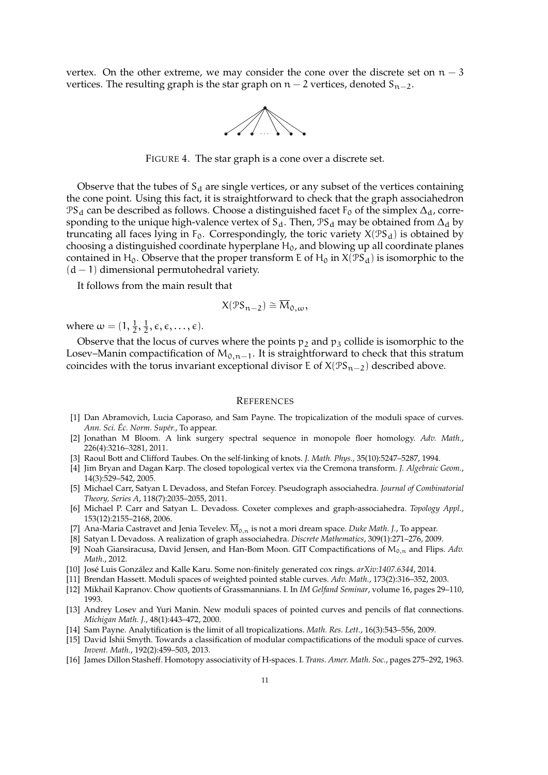vertex. On the other extreme, we may consider the cone over the discrete set on  $n-3$ vertices. The resulting graph is the star graph on  $n - 2$  vertices, denoted  $S_{n-2}$ .



FIGURE 4. The star graph is a cone over a discrete set.

Observe that the tubes of  $S_d$  are single vertices, or any subset of the vertices containing the cone point. Using this fact, it is straightforward to check that the graph associahedron  $PS_d$  can be described as follows. Choose a distinguished facet  $F_0$  of the simplex  $\Delta_d$ , corresponding to the unique high-valence vertex of S<sub>d</sub>. Then,  $\mathcal{PS}_d$  may be obtained from  $\Delta_d$  by truncating all faces lying in  $F_0$ . Correspondingly, the toric variety  $X(\mathcal{PS}_d)$  is obtained by choosing a distinguished coordinate hyperplane  $H_0$ , and blowing up all coordinate planes contained in H<sub>0</sub>. Observe that the proper transform E of H<sub>0</sub> in  $X(\mathcal{PS}_d)$  is isomorphic to the  $(d - 1)$  dimensional permutohedral variety.

It follows from the main result that

$$
X(\mathcal{PS}_{n-2}) \cong \overline{M}_{0,\omega},
$$

where  $\omega = (1, \frac{1}{2}, \frac{1}{2})$  $\frac{1}{2}, \epsilon, \epsilon, \ldots, \epsilon$ ).

Observe that the locus of curves where the points  $p_2$  and  $p_3$  collide is isomorphic to the Losev–Manin compactification of  $M_{0,n-1}$ . It is straightforward to check that this stratum coincides with the torus invariant exceptional divisor E of  $X(\mathcal{PS}_{n-2})$  described above.

### **REFERENCES**

- [1] Dan Abramovich, Lucia Caporaso, and Sam Payne. The tropicalization of the moduli space of curves. *Ann. Sci. Ec. Norm. Sup´er. ´* , To appear.
- [2] Jonathan M Bloom. A link surgery spectral sequence in monopole floer homology. *Adv. Math.*, 226(4):3216–3281, 2011.
- [3] Raoul Bott and Clifford Taubes. On the self-linking of knots. *J. Math. Phys.*, 35(10):5247–5287, 1994.
- [4] Jim Bryan and Dagan Karp. The closed topological vertex via the Cremona transform. *J. Algebraic Geom.*, 14(3):529–542, 2005.
- [5] Michael Carr, Satyan L Devadoss, and Stefan Forcey. Pseudograph associahedra. *Journal of Combinatorial Theory, Series A*, 118(7):2035–2055, 2011.
- [6] Michael P. Carr and Satyan L. Devadoss. Coxeter complexes and graph-associahedra. *Topology Appl.*, 153(12):2155–2168, 2006.
- [7] Ana-Maria Castravet and Jenia Tevelev.  $\overline{M}_{0,n}$  is not a mori dream space. *Duke Math. J.*, To appear.
- [8] Satyan L Devadoss. A realization of graph associahedra. *Discrete Mathematics*, 309(1):271–276, 2009.
- [9] Noah Giansiracusa, David Jensen, and Han-Bom Moon. GIT Compactifications of M<sub>0,n</sub> and Flips. *Adv. Math.*, 2012.
- [10] José Luis González and Kalle Karu. Some non-finitely generated cox rings.  $arXiv:1407.6344$ , 2014.
- [11] Brendan Hassett. Moduli spaces of weighted pointed stable curves. *Adv. Math.*, 173(2):316–352, 2003.
- [12] Mikhail Kapranov. Chow quotients of Grassmannians. I. In *IM Gelfand Seminar*, volume 16, pages 29–110, 1993.
- [13] Andrey Losev and Yuri Manin. New moduli spaces of pointed curves and pencils of flat connections. *Michigan Math. J.*, 48(1):443–472, 2000.
- [14] Sam Payne. Analytification is the limit of all tropicalizations. *Math. Res. Lett.*, 16(3):543–556, 2009.
- [15] David Ishii Smyth. Towards a classification of modular compactifications of the moduli space of curves. *Invent. Math.*, 192(2):459–503, 2013.
- [16] James Dillon Stasheff. Homotopy associativity of H-spaces. I. *Trans. Amer. Math. Soc.*, pages 275–292, 1963.